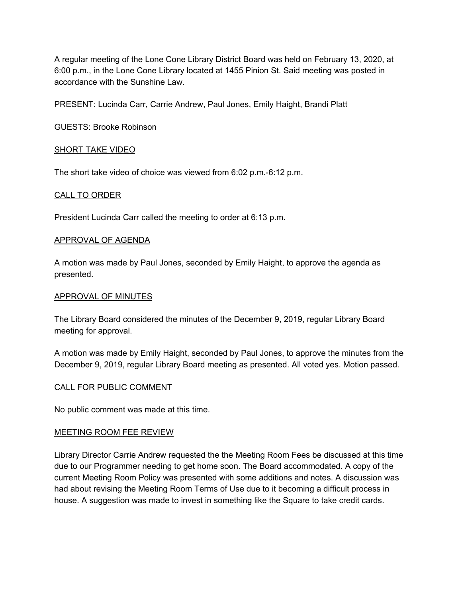A regular meeting of the Lone Cone Library District Board was held on February 13, 2020, at 6:00 p.m., in the Lone Cone Library located at 1455 Pinion St. Said meeting was posted in accordance with the Sunshine Law.

PRESENT: Lucinda Carr, Carrie Andrew, Paul Jones, Emily Haight, Brandi Platt

GUESTS: Brooke Robinson

# SHORT TAKE VIDEO

The short take video of choice was viewed from 6:02 p.m.-6:12 p.m.

## CALL TO ORDER

President Lucinda Carr called the meeting to order at 6:13 p.m.

### APPROVAL OF AGENDA

A motion was made by Paul Jones, seconded by Emily Haight, to approve the agenda as presented.

## APPROVAL OF MINUTES

The Library Board considered the minutes of the December 9, 2019, regular Library Board meeting for approval.

A motion was made by Emily Haight, seconded by Paul Jones, to approve the minutes from the December 9, 2019, regular Library Board meeting as presented. All voted yes. Motion passed.

# CALL FOR PUBLIC COMMENT

No public comment was made at this time.

# MEETING ROOM FEE REVIEW

Library Director Carrie Andrew requested the the Meeting Room Fees be discussed at this time due to our Programmer needing to get home soon. The Board accommodated. A copy of the current Meeting Room Policy was presented with some additions and notes. A discussion was had about revising the Meeting Room Terms of Use due to it becoming a difficult process in house. A suggestion was made to invest in something like the Square to take credit cards.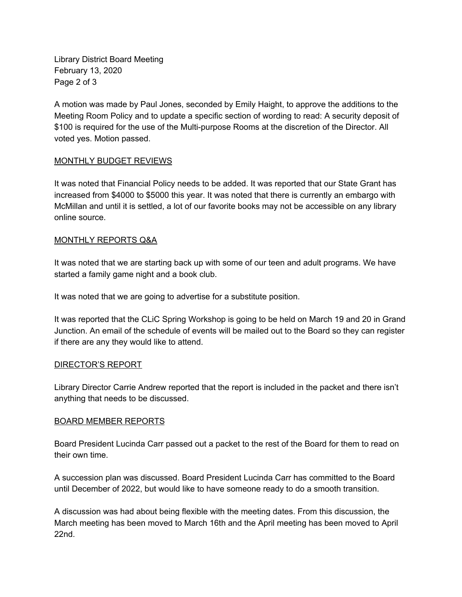Library District Board Meeting February 13, 2020 Page 2 of 3

A motion was made by Paul Jones, seconded by Emily Haight, to approve the additions to the Meeting Room Policy and to update a specific section of wording to read: A security deposit of \$100 is required for the use of the Multi-purpose Rooms at the discretion of the Director. All voted yes. Motion passed.

# MONTHLY BUDGET REVIEWS

It was noted that Financial Policy needs to be added. It was reported that our State Grant has increased from \$4000 to \$5000 this year. It was noted that there is currently an embargo with McMillan and until it is settled, a lot of our favorite books may not be accessible on any library online source.

# MONTHLY REPORTS Q&A

It was noted that we are starting back up with some of our teen and adult programs. We have started a family game night and a book club.

It was noted that we are going to advertise for a substitute position.

It was reported that the CLiC Spring Workshop is going to be held on March 19 and 20 in Grand Junction. An email of the schedule of events will be mailed out to the Board so they can register if there are any they would like to attend.

# DIRECTOR'S REPORT

Library Director Carrie Andrew reported that the report is included in the packet and there isn't anything that needs to be discussed.

# BOARD MEMBER REPORTS

Board President Lucinda Carr passed out a packet to the rest of the Board for them to read on their own time.

A succession plan was discussed. Board President Lucinda Carr has committed to the Board until December of 2022, but would like to have someone ready to do a smooth transition.

A discussion was had about being flexible with the meeting dates. From this discussion, the March meeting has been moved to March 16th and the April meeting has been moved to April 22nd.